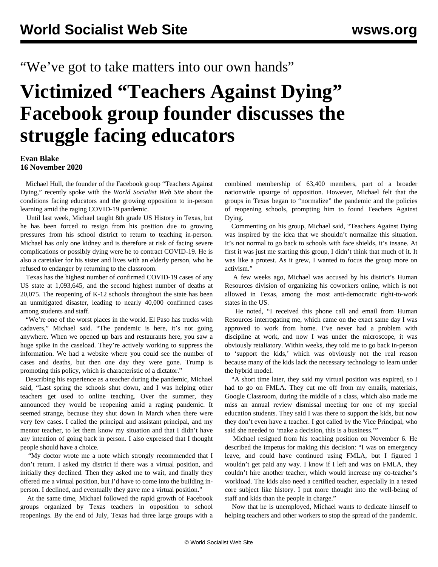## "We've got to take matters into our own hands"

## **Victimized "Teachers Against Dying" Facebook group founder discusses the struggle facing educators**

## **Evan Blake 16 November 2020**

 Michael Hull, the founder of the Facebook group ["Teachers Against](https://www.facebook.com/groups/1742745529198277) [Dying](https://www.facebook.com/groups/1742745529198277)," recently spoke with the *World Socialist Web Site* about the conditions facing educators and the growing opposition to in-person learning amid the raging COVID-19 pandemic.

 Until last week, Michael taught 8th grade US History in Texas, but he has been forced to resign from his position due to growing pressures from his school district to return to teaching in-person. Michael has only one kidney and is therefore at risk of facing severe complications or possibly dying were he to contract COVID-19. He is also a caretaker for his sister and lives with an elderly person, who he refused to endanger by returning to the classroom.

 Texas has the highest number of confirmed COVID-19 cases of any US state at 1,093,645, and the second highest number of deaths at 20,075. The reopening of K-12 schools throughout the state has been an unmitigated disaster, leading to nearly 40,000 confirmed cases among students and staff.

"We're one of the worst places in the world. El Paso has trucks with cadavers," Michael said. "The pandemic is here, it's not going anywhere. When we opened up bars and restaurants here, you saw a huge spike in the caseload. They're actively working to suppress the information. We had a website where you could see the number of cases and deaths, but then one day they were gone. Trump is promoting this policy, which is characteristic of a dictator."

 Describing his experience as a teacher during the pandemic, Michael said, "Last spring the schools shut down, and I was helping other teachers get used to online teaching. Over the summer, they announced they would be reopening amid a raging pandemic. It seemed strange, because they shut down in March when there were very few cases. I called the principal and assistant principal, and my mentor teacher, to let them know my situation and that I didn't have any intention of going back in person. I also expressed that I thought people should have a choice.

 "My doctor wrote me a note which strongly recommended that I don't return. I asked my district if there was a virtual position, and initially they declined. Then they asked me to wait, and finally they offered me a virtual position, but I'd have to come into the building inperson. I declined, and eventually they gave me a virtual position."

 At the same time, Michael followed the rapid growth of Facebook groups organized by Texas teachers in opposition to school reopenings. By the end of July, Texas had three large groups with a combined membership of 63,400 members, part of a [broader](/en/articles/2020/07/31/scho-j31.html) [nationwide upsurge of opposition.](/en/articles/2020/07/31/scho-j31.html) However, Michael felt that the groups in Texas began to "normalize" the pandemic and the policies of reopening schools, prompting him to found Teachers Against Dying.

 Commenting on his group, Michael said, "Teachers Against Dying was inspired by the idea that we shouldn't normalize this situation. It's not normal to go back to schools with face shields, it's insane. At first it was just me starting this group, I didn't think that much of it. It was like a protest. As it grew, I wanted to focus the group more on activism."

 A few weeks ago, Michael was accused by his district's Human Resources division of organizing his coworkers online, which is not allowed in Texas, among the most anti-democratic right-to-work states in the US.

 He noted, "I received this phone call and email from Human Resources interrogating me, which came on the exact same day I was approved to work from home. I've never had a problem with discipline at work, and now I was under the microscope, it was obviously retaliatory. Within weeks, they told me to go back in-person to 'support the kids,' which was obviously not the real reason because many of the kids lack the necessary technology to learn under the hybrid model.

 "A short time later, they said my virtual position was expired, so I had to go on FMLA. They cut me off from my emails, materials, Google Classroom, during the middle of a class, which also made me miss an annual review dismissal meeting for one of my special education students. They said I was there to support the kids, but now they don't even have a teacher. I got called by the Vice Principal, who said she needed to 'make a decision, this is a business.'"

 Michael resigned from his teaching position on November 6. He described the impetus for making this decision: "I was on emergency leave, and could have continued using FMLA, but I figured I wouldn't get paid any way. I know if I left and was on FMLA, they couldn't hire another teacher, which would increase my co-teacher's workload. The kids also need a certified teacher, especially in a tested core subject like history. I put more thought into the well-being of staff and kids than the people in charge."

 Now that he is unemployed, Michael wants to dedicate himself to helping teachers and other workers to stop the spread of the pandemic.